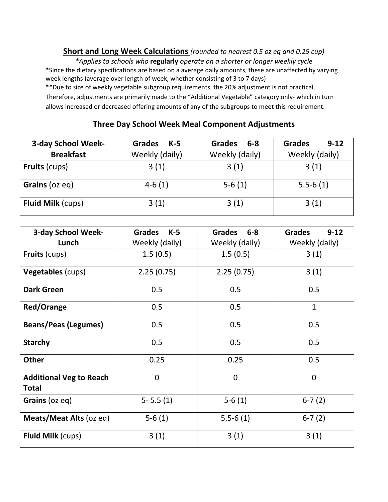## **Short and Long Week Calculations** *(rounded to nearest 0.5 oz eq and 0.25 cup)*

*\*Applies to schools who* **regularly** *operate on a shorter or longer weekly cycle* \*Since the dietary specifications are based on a average daily amounts, these are unaffected by varying week lengths (average over length of week, whether consisting of 3 to 7 days)

\*\*Due to size of weekly vegetable subgroup requirements, the 20% adjustment is not practical. Therefore, adjustments are primarily made to the "Additional Vegetable" category only‐ which in turn allows increased or decreased offering amounts of any of the subgroups to meet this requirement.

## **Three Day School Week Meal Component Adjustments**

| 3-day School Week-       | <b>Grades</b><br>K-5 | <b>Grades</b><br>6-8 | <b>Grades</b><br>$9 - 12$ |
|--------------------------|----------------------|----------------------|---------------------------|
| <b>Breakfast</b>         | Weekly (daily)       | Weekly (daily)       | Weekly (daily)            |
| <b>Fruits (cups)</b>     | 3(1)                 | 3(1)                 | 3(1)                      |
| Grains (oz eq)           | $4-6(1)$             | $5-6(1)$             | $5.5 - 6(1)$              |
| <b>Fluid Milk (cups)</b> | 3(1)                 | 3(1)                 | 3(1)                      |

| 3-day School Week-                             | <b>Grades</b><br>$K-5$ | <b>Grades</b><br>$6 - 8$ | <b>Grades</b><br>$9 - 12$ |
|------------------------------------------------|------------------------|--------------------------|---------------------------|
| Lunch                                          | Weekly (daily)         | Weekly (daily)           | Weekly (daily)            |
| <b>Fruits (cups)</b>                           | 1.5(0.5)               | 1.5(0.5)                 | 3(1)                      |
| Vegetables (cups)                              | 2.25(0.75)             | 2.25(0.75)               | 3(1)                      |
| <b>Dark Green</b>                              | 0.5                    | 0.5                      | 0.5                       |
| <b>Red/Orange</b>                              | 0.5                    | 0.5                      | $\mathbf{1}$              |
| <b>Beans/Peas (Legumes)</b>                    | 0.5                    | 0.5                      | 0.5                       |
| <b>Starchy</b>                                 | 0.5                    | 0.5                      | 0.5                       |
| <b>Other</b>                                   | 0.25                   | 0.25                     | 0.5                       |
| <b>Additional Veg to Reach</b><br><b>Total</b> | $\mathbf 0$            | $\overline{0}$           | $\mathbf 0$               |
| Grains (oz eq)                                 | $5 - 5.5(1)$           | $5-6(1)$                 | $6-7(2)$                  |
| Meats/Meat Alts (oz eq)                        | $5-6(1)$               | $5.5 - 6(1)$             | $6-7(2)$                  |
| <b>Fluid Milk (cups)</b>                       | 3(1)                   | 3(1)                     | 3(1)                      |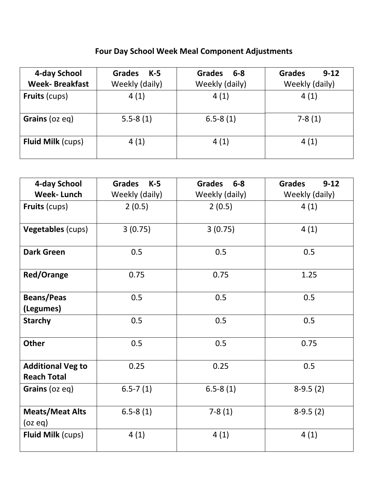# **Four Day School Week Meal Component Adjustments**

| 4-day School<br><b>Week-Breakfast</b> | <b>Grades</b><br>K-5<br>Weekly (daily) | $6 - 8$<br><b>Grades</b><br>Weekly (daily) | <b>Grades</b><br>$9 - 12$<br>Weekly (daily) |
|---------------------------------------|----------------------------------------|--------------------------------------------|---------------------------------------------|
| <b>Fruits (cups)</b>                  | 4(1)                                   | 4(1)                                       | 4(1)                                        |
| Grains (oz eq)                        | $5.5 - 8(1)$                           | $6.5 - 8(1)$                               | $7-8(1)$                                    |
| <b>Fluid Milk (cups)</b>              | 4(1)                                   | 4(1)                                       | 4(1)                                        |

| 4-day School                                   | <b>Grades</b><br>$K-5$ | <b>Grades</b><br>$6-8$ | <b>Grades</b><br>$9-12$ |
|------------------------------------------------|------------------------|------------------------|-------------------------|
| <b>Week-Lunch</b>                              | Weekly (daily)         | Weekly (daily)         | Weekly (daily)          |
| <b>Fruits (cups)</b>                           | 2(0.5)                 | 2(0.5)                 | 4(1)                    |
| Vegetables (cups)                              | 3(0.75)                | 3(0.75)                | 4(1)                    |
| <b>Dark Green</b>                              | 0.5                    | 0.5                    | 0.5                     |
| <b>Red/Orange</b>                              | 0.75                   | 0.75                   | 1.25                    |
| <b>Beans/Peas</b><br>(Legumes)                 | 0.5                    | 0.5                    | 0.5                     |
| <b>Starchy</b>                                 | 0.5                    | 0.5                    | 0.5                     |
| <b>Other</b>                                   | 0.5                    | 0.5                    | 0.75                    |
| <b>Additional Veg to</b><br><b>Reach Total</b> | 0.25                   | 0.25                   | 0.5                     |
| Grains (oz eq)                                 | $6.5 - 7(1)$           | $6.5 - 8(1)$           | $8-9.5(2)$              |
| <b>Meats/Meat Alts</b><br>(oz eq)              | $6.5 - 8(1)$           | $7-8(1)$               | $8-9.5(2)$              |
| <b>Fluid Milk (cups)</b>                       | 4(1)                   | 4(1)                   | 4(1)                    |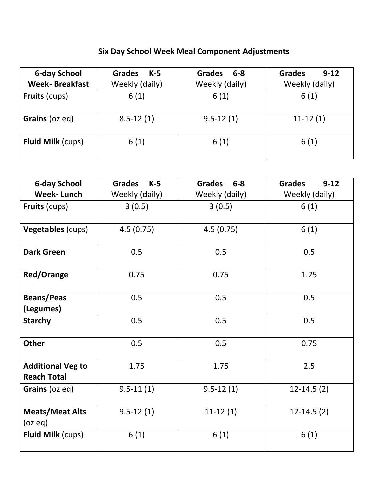# **Six Day School Week Meal Component Adjustments**

| <b>6-day School</b><br><b>Week-Breakfast</b> | <b>Grades</b><br>$K-5$ | <b>Grades</b><br>6-8 | <b>Grades</b><br>$9 - 12$ |
|----------------------------------------------|------------------------|----------------------|---------------------------|
|                                              | Weekly (daily)         | Weekly (daily)       | Weekly (daily)            |
| <b>Fruits (cups)</b>                         | 6(1)                   | 6(1)                 | 6(1)                      |
| Grains (oz eq)                               | $8.5 - 12(1)$          | $9.5 - 12(1)$        | $11-12(1)$                |
| <b>Fluid Milk (cups)</b>                     | 6(1)                   | 6(1)                 | 6(1)                      |

| <b>6-day School</b>                            | $K-5$<br><b>Grades</b> | <b>Grades</b><br>$6 - 8$ | <b>Grades</b><br>$9-12$ |
|------------------------------------------------|------------------------|--------------------------|-------------------------|
| <b>Week-Lunch</b>                              | Weekly (daily)         | Weekly (daily)           | Weekly (daily)          |
| <b>Fruits (cups)</b>                           | 3(0.5)                 | 3(0.5)                   | 6(1)                    |
| Vegetables (cups)                              | 4.5(0.75)              | 4.5(0.75)                | 6(1)                    |
| <b>Dark Green</b>                              | 0.5                    | 0.5                      | 0.5                     |
| <b>Red/Orange</b>                              | 0.75                   | 0.75                     | 1.25                    |
| <b>Beans/Peas</b><br>(Legumes)                 | 0.5                    | 0.5                      | 0.5                     |
| <b>Starchy</b>                                 | 0.5                    | 0.5                      | 0.5                     |
| <b>Other</b>                                   | 0.5                    | 0.5                      | 0.75                    |
| <b>Additional Veg to</b><br><b>Reach Total</b> | 1.75                   | 1.75                     | 2.5                     |
| Grains (oz eq)                                 | $9.5 - 11(1)$          | $9.5 - 12(1)$            | $12 - 14.5(2)$          |
| <b>Meats/Meat Alts</b><br>(oz eq)              | $9.5 - 12(1)$          | $11-12(1)$               | $12-14.5(2)$            |
| <b>Fluid Milk (cups)</b>                       | 6(1)                   | 6(1)                     | 6(1)                    |